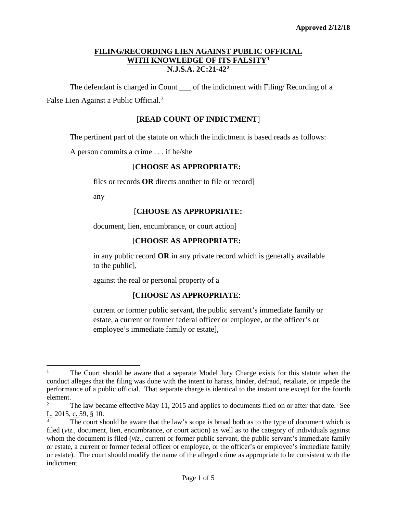The defendant is charged in Count of the indictment with Filing/ Recording of a False Lien Against a Public Official.<sup>[3](#page-0-2)</sup>

# [**READ COUNT OF INDICTMENT**]

The pertinent part of the statute on which the indictment is based reads as follows:

A person commits a crime . . . if he/she

## [**CHOOSE AS APPROPRIATE:**

files or records **OR** directs another to file or record]

any

l

## [**CHOOSE AS APPROPRIATE:**

document, lien, encumbrance, or court action]

## [**CHOOSE AS APPROPRIATE:**

in any public record **OR** in any private record which is generally available to the public],

against the real or personal property of a

### [**CHOOSE AS APPROPRIATE**:

current or former public servant, the public servant's immediate family or estate, a current or former federal officer or employee, or the officer's or employee's immediate family or estate],

<span id="page-0-0"></span><sup>&</sup>lt;sup>1</sup> The Court should be aware that a separate Model Jury Charge exists for this statute when the conduct alleges that the filing was done with the intent to harass, hinder, defraud, retaliate, or impede the performance of a public official. That separate charge is identical to the instant one except for the fourth element.

<span id="page-0-1"></span><sup>2</sup> The law became effective May 11, 2015 and applies to documents filed on or after that date. See L. 2015, c. 59, § 10.

<span id="page-0-2"></span>The court should be aware that the law's scope is broad both as to the type of document which is filed (*viz.*, document, lien, encumbrance, or court action) as well as to the category of individuals against whom the document is filed (*viz.*, current or former public servant, the public servant's immediate family or estate, a current or former federal officer or employee, or the officer's or employee's immediate family or estate). The court should modify the name of the alleged crime as appropriate to be consistent with the indictment.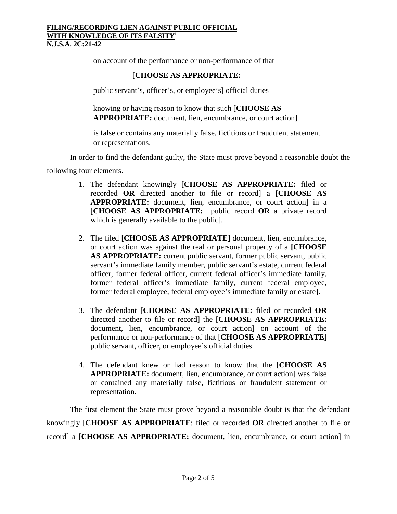on account of the performance or non-performance of that

# [**CHOOSE AS APPROPRIATE:**

public servant's, officer's, or employee's] official duties

knowing or having reason to know that such [**CHOOSE AS APPROPRIATE:** document, lien, encumbrance, or court action]

is false or contains any materially false, fictitious or fraudulent statement or representations.

In order to find the defendant guilty, the State must prove beyond a reasonable doubt the

following four elements.

- 1. The defendant knowingly [**CHOOSE AS APPROPRIATE:** filed or recorded **OR** directed another to file or record] a [**CHOOSE AS APPROPRIATE:** document, lien, encumbrance, or court action] in a [**CHOOSE AS APPROPRIATE:** public record **OR** a private record which is generally available to the public].
- 2. The filed **[CHOOSE AS APPROPRIATE]** document, lien, encumbrance, or court action was against the real or personal property of a **[CHOOSE AS APPROPRIATE:** current public servant, former public servant, public servant's immediate family member, public servant's estate, current federal officer, former federal officer, current federal officer's immediate family, former federal officer's immediate family, current federal employee, former federal employee, federal employee's immediate family or estate].
- 3. The defendant [**CHOOSE AS APPROPRIATE:** filed or recorded **OR** directed another to file or record] the [**CHOOSE AS APPROPRIATE:** document, lien, encumbrance, or court action] on account of the performance or non-performance of that [**CHOOSE AS APPROPRIATE**] public servant, officer, or employee's official duties.
- 4. The defendant knew or had reason to know that the [**CHOOSE AS APPROPRIATE:** document, lien, encumbrance, or court action] was false or contained any materially false, fictitious or fraudulent statement or representation.

The first element the State must prove beyond a reasonable doubt is that the defendant knowingly [**CHOOSE AS APPROPRIATE**: filed or recorded **OR** directed another to file or record] a [**CHOOSE AS APPROPRIATE:** document, lien, encumbrance, or court action] in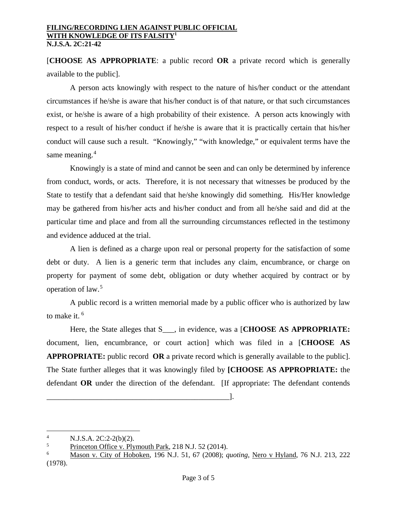[**CHOOSE AS APPROPRIATE**: a public record **OR** a private record which is generally available to the public].

A person acts knowingly with respect to the nature of his/her conduct or the attendant circumstances if he/she is aware that his/her conduct is of that nature, or that such circumstances exist, or he/she is aware of a high probability of their existence. A person acts knowingly with respect to a result of his/her conduct if he/she is aware that it is practically certain that his/her conduct will cause such a result. "Knowingly," "with knowledge," or equivalent terms have the same meaning.<sup>[4](#page-2-0)</sup>

Knowingly is a state of mind and cannot be seen and can only be determined by inference from conduct, words, or acts. Therefore, it is not necessary that witnesses be produced by the State to testify that a defendant said that he/she knowingly did something. His/Her knowledge may be gathered from his/her acts and his/her conduct and from all he/she said and did at the particular time and place and from all the surrounding circumstances reflected in the testimony and evidence adduced at the trial.

A lien is defined as a charge upon real or personal property for the satisfaction of some debt or duty. A lien is a generic term that includes any claim, encumbrance, or charge on property for payment of some debt, obligation or duty whether acquired by contract or by operation of law. [5](#page-2-1)

A public record is a written memorial made by a public officer who is authorized by law to make it.<sup>[6](#page-2-2)</sup>

Here, the State alleges that S<sub>quiv</sub> in evidence, was a [**CHOOSE AS APPROPRIATE:** document, lien, encumbrance, or court action] which was filed in a [**CHOOSE AS APPROPRIATE:** public record **OR** a private record which is generally available to the public]. The State further alleges that it was knowingly filed by **[CHOOSE AS APPROPRIATE:** the defendant **OR** under the direction of the defendant. [If appropriate: The defendant contends

\_\_\_\_\_\_\_\_\_\_\_\_\_\_\_\_\_\_\_\_\_\_\_\_\_\_\_\_\_\_\_\_\_\_\_\_\_\_\_\_\_\_\_\_\_\_\_].

 $\overline{a}$ 

<span id="page-2-0"></span><sup>&</sup>lt;sup>4</sup> N.J.S.A. 2C:2-2(b)(2).<br><sup>5</sup> Princeton Office y. Ply

<span id="page-2-1"></span> $\frac{5}{100}$  Princeton Office v. Plymouth Park, 218 N.J. 52 (2014).

<span id="page-2-2"></span><sup>6</sup> Mason v. City of Hoboken, 196 N.J. 51, 67 (2008); *quoting*, Nero v Hyland, 76 N.J. 213, 222 (1978).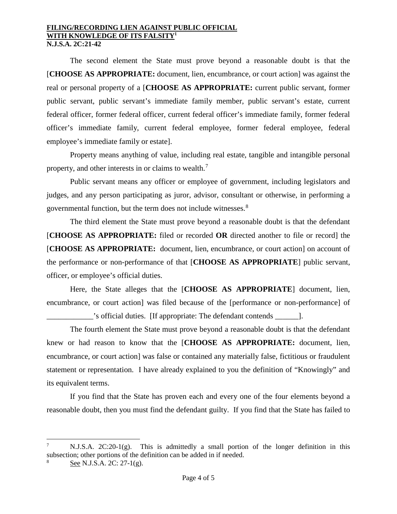The second element the State must prove beyond a reasonable doubt is that the [**CHOOSE AS APPROPRIATE:** document, lien, encumbrance, or court action] was against the real or personal property of a [**CHOOSE AS APPROPRIATE:** current public servant, former public servant, public servant's immediate family member, public servant's estate, current federal officer, former federal officer, current federal officer's immediate family, former federal officer's immediate family, current federal employee, former federal employee, federal employee's immediate family or estate].

Property means anything of value, including real estate, tangible and intangible personal property, and other interests in or claims to wealth.<sup>[7](#page-3-0)</sup>

Public servant means any officer or employee of government, including legislators and judges, and any person participating as juror, advisor, consultant or otherwise, in performing a governmental function, but the term does not include witnesses.<sup>[8](#page-3-1)</sup>

The third element the State must prove beyond a reasonable doubt is that the defendant [**CHOOSE AS APPROPRIATE:** filed or recorded **OR** directed another to file or record] the [**CHOOSE AS APPROPRIATE:** document, lien, encumbrance, or court action] on account of the performance or non-performance of that [**CHOOSE AS APPROPRIATE**] public servant, officer, or employee's official duties.

Here, the State alleges that the [**CHOOSE AS APPROPRIATE**] document, lien, encumbrance, or court action] was filed because of the [performance or non-performance] of \_\_\_\_\_\_\_\_\_\_\_\_'s official duties. [If appropriate: The defendant contends \_\_\_\_\_\_].

The fourth element the State must prove beyond a reasonable doubt is that the defendant knew or had reason to know that the [**CHOOSE AS APPROPRIATE:** document, lien, encumbrance, or court action] was false or contained any materially false, fictitious or fraudulent statement or representation. I have already explained to you the definition of "Knowingly" and its equivalent terms.

If you find that the State has proven each and every one of the four elements beyond a reasonable doubt, then you must find the defendant guilty. If you find that the State has failed to

 $\overline{\phantom{a}}$ 

<span id="page-3-0"></span> $N.J.S.A.$   $2C:20-1(g)$ . This is admittedly a small portion of the longer definition in this subsection; other portions of the definition can be added in if needed.

<span id="page-3-1"></span>See N.J.S.A. 2C: 27-1(g).